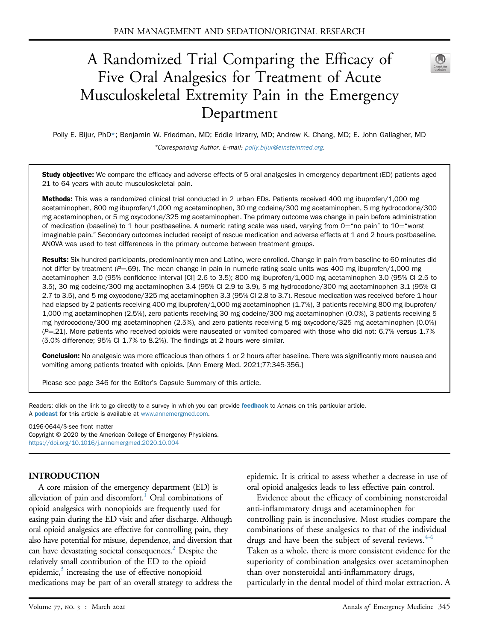# A Randomized Trial Comparing the Efficacy of Five Oral Analgesics for Treatment of Acute Musculoskeletal Extremity Pain in the Emergency Department



Polly E. Bijur, PhD\*; Benjamin W. Friedman, MD; Eddie Irizarry, MD; Andrew K. Chang, MD; E. John Gallagher, MD \*Corresponding Author. E-mail: [polly.bijur@einsteinmed.org](mailto:polly.bijur@einsteinmed.org).

Study objective: We compare the efficacy and adverse effects of 5 oral analgesics in emergency department (ED) patients aged 21 to 64 years with acute musculoskeletal pain.

Methods: This was a randomized clinical trial conducted in 2 urban EDs. Patients received 400 mg ibuprofen/1,000 mg acetaminophen, 800 mg ibuprofen/1,000 mg acetaminophen, 30 mg codeine/300 mg acetaminophen, 5 mg hydrocodone/300 mg acetaminophen, or 5 mg oxycodone/325 mg acetaminophen. The primary outcome was change in pain before administration of medication (baseline) to 1 hour postbaseline. A numeric rating scale was used, varying from  $0$ ="no pain" to  $10$ ="worst imaginable pain." Secondary outcomes included receipt of rescue medication and adverse effects at 1 and 2 hours postbaseline. ANOVA was used to test differences in the primary outcome between treatment groups.

Results: Six hundred participants, predominantly men and Latino, were enrolled. Change in pain from baseline to 60 minutes did not differ by treatment ( $P=69$ ). The mean change in pain in numeric rating scale units was 400 mg ibuprofen/1,000 mg acetaminophen 3.0 (95% confidence interval [CI] 2.6 to 3.5); 800 mg ibuprofen/1,000 mg acetaminophen 3.0 (95% CI 2.5 to 3.5), 30 mg codeine/300 mg acetaminophen 3.4 (95% CI 2.9 to 3.9), 5 mg hydrocodone/300 mg acetaminophen 3.1 (95% CI 2.7 to 3.5), and 5 mg oxycodone/325 mg acetaminophen 3.3 (95% CI 2.8 to 3.7). Rescue medication was received before 1 hour had elapsed by 2 patients receiving 400 mg ibuprofen/1,000 mg acetaminophen (1.7%), 3 patients receiving 800 mg ibuprofen/ 1,000 mg acetaminophen (2.5%), zero patients receiving 30 mg codeine/300 mg acetaminophen (0.0%), 3 patients receiving 5 mg hydrocodone/300 mg acetaminophen (2.5%), and zero patients receiving 5 mg oxycodone/325 mg acetaminophen (0.0%)  $(P=21)$ . More patients who received opioids were nauseated or vomited compared with those who did not: 6.7% versus 1.7% (5.0% difference; 95% CI 1.7% to 8.2%). The findings at 2 hours were similar.

Conclusion: No analgesic was more efficacious than others 1 or 2 hours after baseline. There was significantly more nausea and vomiting among patients treated with opioids. [Ann Emerg Med. 2021;77:345-356.]

Please see page 346 for the Editor's Capsule Summary of this article.

Readers: click on the link to go directly to a survey in which you can provide [feedback](https://www.surveymonkey.com/r/8TDMGVJ) to Annals on this particular article. A **[podcast](http://annemergmed.com/content/podcast)** for this article is available at [www.annemergmed.com](http://www.annemergmed.com).

0196-0644/\$-see front matter

Copyright © 2020 by the American College of Emergency Physicians. <https://doi.org/10.1016/j.annemergmed.2020.10.004>

#### INTRODUCTION

A core mission of the emergency department (ED) is alleviation of pain and discomfort.<sup>1</sup> Oral combinations of opioid analgesics with nonopioids are frequently used for easing pain during the ED visit and after discharge. Although oral opioid analgesics are effective for controlling pain, they also have potential for misuse, dependence, and diversion that can have devastating societal consequences.<sup>[2](#page-10-1)</sup> Despite the relatively small contribution of the ED to the opioid epidemic, $\delta$  increasing the use of effective nonopioid medications may be part of an overall strategy to address the epidemic. It is critical to assess whether a decrease in use of oral opioid analgesics leads to less effective pain control.

Evidence about the efficacy of combining nonsteroidal anti-inflammatory drugs and acetaminophen for controlling pain is inconclusive. Most studies compare the combinations of these analgesics to that of the individual drugs and have been the subject of several reviews.<sup>[4-6](#page-10-3)</sup> Taken as a whole, there is more consistent evidence for the superiority of combination analgesics over acetaminophen than over nonsteroidal anti-inflammatory drugs, particularly in the dental model of third molar extraction. A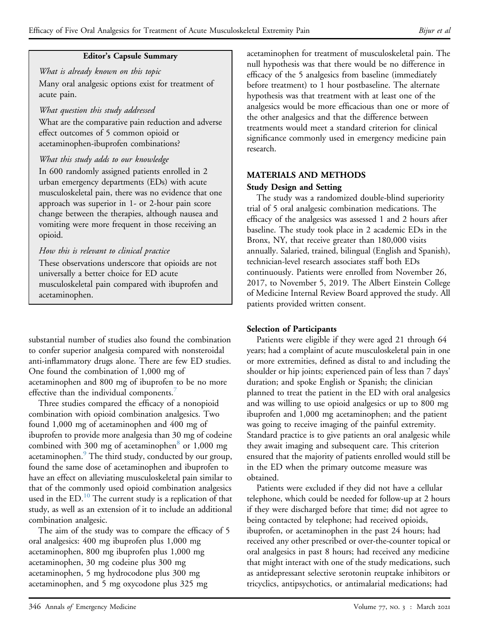#### Editor's Capsule Summary

What is already known on this topic Many oral analgesic options exist for treatment of acute pain.

#### What question this study addressed

What are the comparative pain reduction and adverse effect outcomes of 5 common opioid or acetaminophen-ibuprofen combinations?

# What this study adds to our knowledge

In 600 randomly assigned patients enrolled in 2 urban emergency departments (EDs) with acute musculoskeletal pain, there was no evidence that one approach was superior in 1- or 2-hour pain score change between the therapies, although nausea and vomiting were more frequent in those receiving an opioid.

# How this is relevant to clinical practice

These observations underscore that opioids are not universally a better choice for ED acute musculoskeletal pain compared with ibuprofen and acetaminophen.

substantial number of studies also found the combination to confer superior analgesia compared with nonsteroidal anti-inflammatory drugs alone. There are few ED studies. One found the combination of 1,000 mg of acetaminophen and 800 mg of ibuprofen to be no more effective than the individual components.<sup>[7](#page-10-4)</sup>

Three studies compared the efficacy of a nonopioid combination with opioid combination analgesics. Two found 1,000 mg of acetaminophen and 400 mg of ibuprofen to provide more analgesia than 30 mg of codeine combined with 300 mg of acetaminophen<sup>[8](#page-10-5)</sup> or 1,000 mg acetaminophen.<sup>[9](#page-11-0)</sup> The third study, conducted by our group, found the same dose of acetaminophen and ibuprofen to have an effect on alleviating musculoskeletal pain similar to that of the commonly used opioid combination analgesics used in the  $ED<sup>10</sup>$  $ED<sup>10</sup>$  $ED<sup>10</sup>$ . The current study is a replication of that study, as well as an extension of it to include an additional combination analgesic.

The aim of the study was to compare the efficacy of 5 oral analgesics: 400 mg ibuprofen plus 1,000 mg acetaminophen, 800 mg ibuprofen plus 1,000 mg acetaminophen, 30 mg codeine plus 300 mg acetaminophen, 5 mg hydrocodone plus 300 mg acetaminophen, and 5 mg oxycodone plus 325 mg

acetaminophen for treatment of musculoskeletal pain. The null hypothesis was that there would be no difference in efficacy of the 5 analgesics from baseline (immediately before treatment) to 1 hour postbaseline. The alternate hypothesis was that treatment with at least one of the analgesics would be more efficacious than one or more of the other analgesics and that the difference between treatments would meet a standard criterion for clinical significance commonly used in emergency medicine pain research.

# MATERIALS AND METHODS

#### Study Design and Setting

The study was a randomized double-blind superiority trial of 5 oral analgesic combination medications. The efficacy of the analgesics was assessed 1 and 2 hours after baseline. The study took place in 2 academic EDs in the Bronx, NY, that receive greater than 180,000 visits annually. Salaried, trained, bilingual (English and Spanish), technician-level research associates staff both EDs continuously. Patients were enrolled from November 26, 2017, to November 5, 2019. The Albert Einstein College of Medicine Internal Review Board approved the study. All patients provided written consent.

#### Selection of Participants

Patients were eligible if they were aged 21 through 64 years; had a complaint of acute musculoskeletal pain in one or more extremities, defined as distal to and including the shoulder or hip joints; experienced pain of less than 7 days' duration; and spoke English or Spanish; the clinician planned to treat the patient in the ED with oral analgesics and was willing to use opioid analgesics or up to 800 mg ibuprofen and 1,000 mg acetaminophen; and the patient was going to receive imaging of the painful extremity. Standard practice is to give patients an oral analgesic while they await imaging and subsequent care. This criterion ensured that the majority of patients enrolled would still be in the ED when the primary outcome measure was obtained.

Patients were excluded if they did not have a cellular telephone, which could be needed for follow-up at 2 hours if they were discharged before that time; did not agree to being contacted by telephone; had received opioids, ibuprofen, or acetaminophen in the past 24 hours; had received any other prescribed or over-the-counter topical or oral analgesics in past 8 hours; had received any medicine that might interact with one of the study medications, such as antidepressant selective serotonin reuptake inhibitors or tricyclics, antipsychotics, or antimalarial medications; had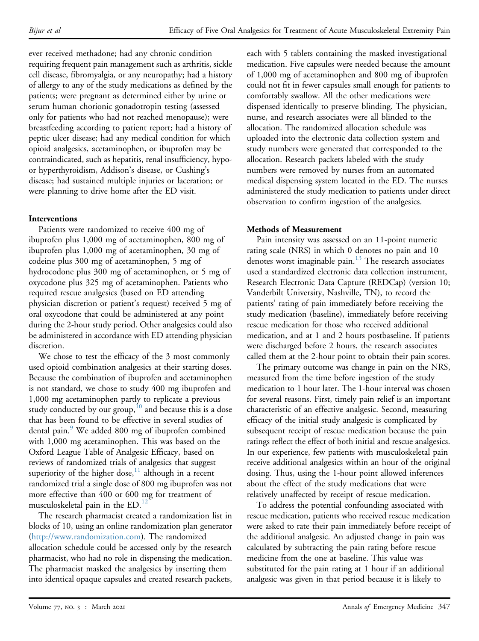ever received methadone; had any chronic condition requiring frequent pain management such as arthritis, sickle cell disease, fibromyalgia, or any neuropathy; had a history of allergy to any of the study medications as defined by the patients; were pregnant as determined either by urine or serum human chorionic gonadotropin testing (assessed only for patients who had not reached menopause); were breastfeeding according to patient report; had a history of peptic ulcer disease; had any medical condition for which opioid analgesics, acetaminophen, or ibuprofen may be contraindicated, such as hepatitis, renal insufficiency, hypoor hyperthyroidism, Addison's disease, or Cushing's disease; had sustained multiple injuries or laceration; or were planning to drive home after the ED visit.

# Interventions

Patients were randomized to receive 400 mg of ibuprofen plus 1,000 mg of acetaminophen, 800 mg of ibuprofen plus 1,000 mg of acetaminophen, 30 mg of codeine plus 300 mg of acetaminophen, 5 mg of hydrocodone plus 300 mg of acetaminophen, or 5 mg of oxycodone plus 325 mg of acetaminophen. Patients who required rescue analgesics (based on ED attending physician discretion or patient's request) received 5 mg of oral oxycodone that could be administered at any point during the 2-hour study period. Other analgesics could also be administered in accordance with ED attending physician discretion.

We chose to test the efficacy of the 3 most commonly used opioid combination analgesics at their starting doses. Because the combination of ibuprofen and acetaminophen is not standard, we chose to study 400 mg ibuprofen and 1,000 mg acetaminophen partly to replicate a previous study conducted by our group,<sup>[10](#page-11-1)</sup> and because this is a dose that has been found to be effective in several studies of dental pain.<sup>9</sup> We added 800 mg of ibuprofen combined with 1,000 mg acetaminophen. This was based on the Oxford League Table of Analgesic Efficacy, based on reviews of randomized trials of analgesics that suggest superiority of the higher dose, $11$  although in a recent randomized trial a single dose of 800 mg ibuprofen was not more effective than 400 or 600 mg for treatment of musculoskeletal pain in the  $ED.^{12}$  $ED.^{12}$  $ED.^{12}$ 

The research pharmacist created a randomization list in blocks of 10, using an online randomization plan generator [\(http://www.randomization.com](http://www.randomization.com)). The randomized allocation schedule could be accessed only by the research pharmacist, who had no role in dispensing the medication. The pharmacist masked the analgesics by inserting them into identical opaque capsules and created research packets,

each with 5 tablets containing the masked investigational medication. Five capsules were needed because the amount of 1,000 mg of acetaminophen and 800 mg of ibuprofen could not fit in fewer capsules small enough for patients to comfortably swallow. All the other medications were dispensed identically to preserve blinding. The physician, nurse, and research associates were all blinded to the allocation. The randomized allocation schedule was uploaded into the electronic data collection system and study numbers were generated that corresponded to the allocation. Research packets labeled with the study numbers were removed by nurses from an automated medical dispensing system located in the ED. The nurses administered the study medication to patients under direct observation to confirm ingestion of the analgesics.

#### Methods of Measurement

Pain intensity was assessed on an 11-point numeric rating scale (NRS) in which 0 denotes no pain and 10 denotes worst imaginable pain.<sup>[13](#page-11-4)</sup> The research associates used a standardized electronic data collection instrument, Research Electronic Data Capture (REDCap) (version 10; Vanderbilt University, Nashville, TN), to record the patients' rating of pain immediately before receiving the study medication (baseline), immediately before receiving rescue medication for those who received additional medication, and at 1 and 2 hours postbaseline. If patients were discharged before 2 hours, the research associates called them at the 2-hour point to obtain their pain scores.

The primary outcome was change in pain on the NRS, measured from the time before ingestion of the study medication to 1 hour later. The 1-hour interval was chosen for several reasons. First, timely pain relief is an important characteristic of an effective analgesic. Second, measuring efficacy of the initial study analgesic is complicated by subsequent receipt of rescue medication because the pain ratings reflect the effect of both initial and rescue analgesics. In our experience, few patients with musculoskeletal pain receive additional analgesics within an hour of the original dosing. Thus, using the 1-hour point allowed inferences about the effect of the study medications that were relatively unaffected by receipt of rescue medication.

To address the potential confounding associated with rescue medication, patients who received rescue medication were asked to rate their pain immediately before receipt of the additional analgesic. An adjusted change in pain was calculated by subtracting the pain rating before rescue medicine from the one at baseline. This value was substituted for the pain rating at 1 hour if an additional analgesic was given in that period because it is likely to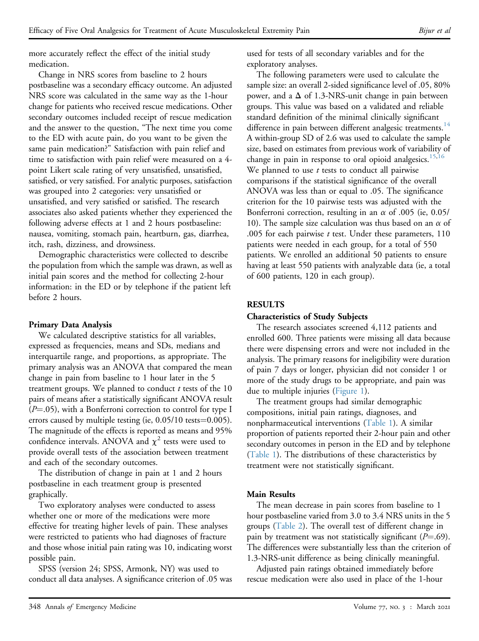more accurately reflect the effect of the initial study medication.

Change in NRS scores from baseline to 2 hours postbaseline was a secondary efficacy outcome. An adjusted NRS score was calculated in the same way as the 1-hour change for patients who received rescue medications. Other secondary outcomes included receipt of rescue medication and the answer to the question, "The next time you come to the ED with acute pain, do you want to be given the same pain medication?" Satisfaction with pain relief and time to satisfaction with pain relief were measured on a 4 point Likert scale rating of very unsatisfied, unsatisfied, satisfied, or very satisfied. For analytic purposes, satisfaction was grouped into 2 categories: very unsatisfied or unsatisfied, and very satisfied or satisfied. The research associates also asked patients whether they experienced the following adverse effects at 1 and 2 hours postbaseline: nausea, vomiting, stomach pain, heartburn, gas, diarrhea, itch, rash, dizziness, and drowsiness.

Demographic characteristics were collected to describe the population from which the sample was drawn, as well as initial pain scores and the method for collecting 2-hour information: in the ED or by telephone if the patient left before 2 hours.

## Primary Data Analysis

We calculated descriptive statistics for all variables, expressed as frequencies, means and SDs, medians and interquartile range, and proportions, as appropriate. The primary analysis was an ANOVA that compared the mean change in pain from baseline to 1 hour later in the 5 treatment groups. We planned to conduct  $t$  tests of the 10 pairs of means after a statistically significant ANOVA result  $(P=.05)$ , with a Bonferroni correction to control for type I errors caused by multiple testing (ie,  $0.05/10$  tests= $0.005$ ). The magnitude of the effects is reported as means and 95% confidence intervals. ANOVA and  $\chi^2$  tests were used to provide overall tests of the association between treatment and each of the secondary outcomes.

The distribution of change in pain at 1 and 2 hours postbaseline in each treatment group is presented graphically.

Two exploratory analyses were conducted to assess whether one or more of the medications were more effective for treating higher levels of pain. These analyses were restricted to patients who had diagnoses of fracture and those whose initial pain rating was 10, indicating worst possible pain.

SPSS (version 24; SPSS, Armonk, NY) was used to conduct all data analyses. A significance criterion of .05 was used for tests of all secondary variables and for the exploratory analyses.

The following parameters were used to calculate the sample size: an overall 2-sided significance level of .05, 80% power, and a  $\Delta$  of 1.3-NRS-unit change in pain between groups. This value was based on a validated and reliable standard definition of the minimal clinically significant difference in pain between different analgesic treatments.<sup>[14](#page-11-5)</sup> A within-group SD of 2.6 was used to calculate the sample size, based on estimates from previous work of variability of change in pain in response to oral opioid analgesics.<sup>[15,](#page-11-6)[16](#page-11-7)</sup> We planned to use  $t$  tests to conduct all pairwise comparisons if the statistical significance of the overall ANOVA was less than or equal to .05. The significance criterion for the 10 pairwise tests was adjusted with the Bonferroni correction, resulting in an  $\alpha$  of .005 (ie, 0.05/ 10). The sample size calculation was thus based on an  $\alpha$  of .005 for each pairwise  $t$  test. Under these parameters,  $110$ patients were needed in each group, for a total of 550 patients. We enrolled an additional 50 patients to ensure having at least 550 patients with analyzable data (ie, a total of 600 patients, 120 in each group).

# RESULTS

## Characteristics of Study Subjects

The research associates screened 4,112 patients and enrolled 600. Three patients were missing all data because there were dispensing errors and were not included in the analysis. The primary reasons for ineligibility were duration of pain 7 days or longer, physician did not consider 1 or more of the study drugs to be appropriate, and pain was due to multiple injuries [\(Figure 1](#page-4-0)).

The treatment groups had similar demographic compositions, initial pain ratings, diagnoses, and nonpharmaceutical interventions ([Table 1](#page-5-0)). A similar proportion of patients reported their 2-hour pain and other secondary outcomes in person in the ED and by telephone ([Table 1\)](#page-5-0). The distributions of these characteristics by treatment were not statistically significant.

# Main Results

The mean decrease in pain scores from baseline to 1 hour postbaseline varied from 3.0 to 3.4 NRS units in the 5 groups ([Table 2\)](#page-6-0). The overall test of different change in pain by treatment was not statistically significant ( $P=$ .69). The differences were substantially less than the criterion of 1.3-NRS-unit difference as being clinically meaningful.

Adjusted pain ratings obtained immediately before rescue medication were also used in place of the 1-hour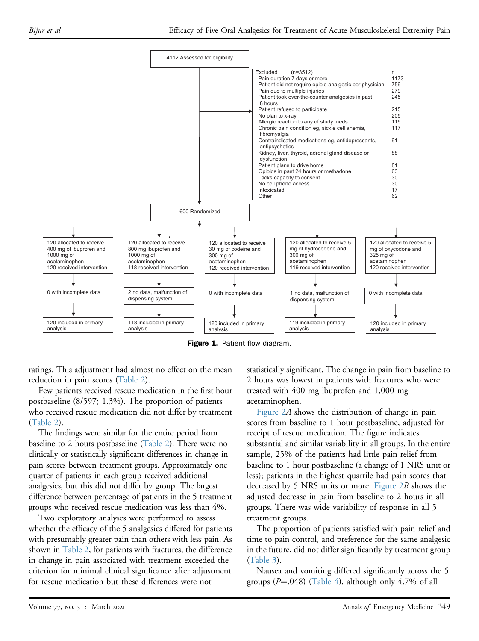<span id="page-4-0"></span>

Figure 1. Patient flow diagram.

ratings. This adjustment had almost no effect on the mean reduction in pain scores [\(Table 2](#page-6-0)).

Few patients received rescue medication in the first hour postbaseline (8/597; 1.3%). The proportion of patients who received rescue medication did not differ by treatment [\(Table 2](#page-6-0)).

The findings were similar for the entire period from baseline to 2 hours postbaseline ([Table 2\)](#page-6-0). There were no clinically or statistically significant differences in change in pain scores between treatment groups. Approximately one quarter of patients in each group received additional analgesics, but this did not differ by group. The largest difference between percentage of patients in the 5 treatment groups who received rescue medication was less than 4%.

Two exploratory analyses were performed to assess whether the efficacy of the 5 analgesics differed for patients with presumably greater pain than others with less pain. As shown in [Table 2](#page-6-0), for patients with fractures, the difference in change in pain associated with treatment exceeded the criterion for minimal clinical significance after adjustment for rescue medication but these differences were not

statistically significant. The change in pain from baseline to 2 hours was lowest in patients with fractures who were treated with 400 mg ibuprofen and 1,000 mg acetaminophen.

[Figure 2](#page-8-0)A shows the distribution of change in pain scores from baseline to 1 hour postbaseline, adjusted for receipt of rescue medication. The figure indicates substantial and similar variability in all groups. In the entire sample, 25% of the patients had little pain relief from baseline to 1 hour postbaseline (a change of 1 NRS unit or less); patients in the highest quartile had pain scores that decreased by 5 NRS units or more. Figure  $2B$  shows the adjusted decrease in pain from baseline to 2 hours in all groups. There was wide variability of response in all 5 treatment groups.

The proportion of patients satisfied with pain relief and time to pain control, and preference for the same analgesic in the future, did not differ significantly by treatment group ([Table 3\)](#page-9-0).

Nausea and vomiting differed significantly across the 5 groups  $(P=.048)$  ([Table 4\)](#page-9-1), although only 4.7% of all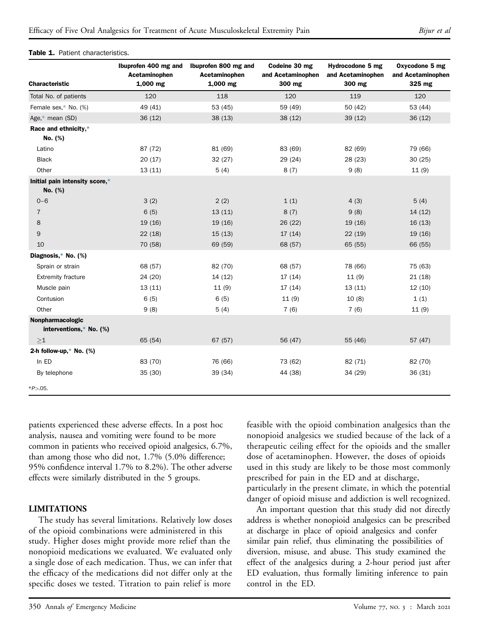#### <span id="page-5-0"></span>Table 1. Patient characteristics.

| <b>Characteristic</b>                       | Ibuprofen 400 mg and<br>Acetaminophen<br>$1,000$ mg | Ibuprofen 800 mg and<br>Acetaminophen<br>$1,000$ mg | Codeine 30 mg<br>and Acetaminophen<br>300 mg | Hydrocodone 5 mg<br>and Acetaminophen<br>300 mg | Oxycodone 5 mg<br>and Acetaminophen<br>325 mg |
|---------------------------------------------|-----------------------------------------------------|-----------------------------------------------------|----------------------------------------------|-------------------------------------------------|-----------------------------------------------|
| Total No. of patients                       | 120                                                 | 118                                                 | 120                                          | 119                                             | 120                                           |
| Female sex, $*$ No. (%)                     | 49 (41)                                             | 53 (45)                                             | 59 (49)                                      | 50 (42)                                         | 53 (44)                                       |
| Age,* mean (SD)                             | 36(12)                                              | 38(13)                                              | 38(12)                                       | 39(12)                                          | 36(12)                                        |
| Race and ethnicity,*<br>No. (%)             |                                                     |                                                     |                                              |                                                 |                                               |
| Latino                                      | 87 (72)                                             | 81 (69)                                             | 83 (69)                                      | 82 (69)                                         | 79 (66)                                       |
| <b>Black</b>                                | 20(17)                                              | 32 (27)                                             | 29 (24)                                      | 28 (23)                                         | 30(25)                                        |
| Other                                       | 13(11)                                              | 5(4)                                                | 8(7)                                         | 9(8)                                            | 11(9)                                         |
| Initial pain intensity score,*<br>No. (%)   |                                                     |                                                     |                                              |                                                 |                                               |
| $0 - 6$                                     | 3(2)                                                | 2(2)                                                | 1(1)                                         | 4(3)                                            | 5(4)                                          |
| $\overline{7}$                              | 6(5)                                                | 13(11)                                              | 8(7)                                         | 9(8)                                            | 14 (12)                                       |
| 8                                           | 19(16)                                              | 19(16)                                              | 26(22)                                       | 19(16)                                          | 16(13)                                        |
| 9                                           | 22(18)                                              | 15(13)                                              | 17(14)                                       | 22(19)                                          | 19 (16)                                       |
| 10                                          | 70 (58)                                             | 69 (59)                                             | 68 (57)                                      | 65 (55)                                         | 66 (55)                                       |
| Diagnosis,* No. (%)                         |                                                     |                                                     |                                              |                                                 |                                               |
| Sprain or strain                            | 68 (57)                                             | 82 (70)                                             | 68 (57)                                      | 78 (66)                                         | 75 (63)                                       |
| <b>Extremity fracture</b>                   | 24 (20)                                             | 14(12)                                              | 17(14)                                       | 11(9)                                           | 21(18)                                        |
| Muscle pain                                 | 13(11)                                              | 11(9)                                               | 17(14)                                       | 13(11)                                          | 12 (10)                                       |
| Contusion                                   | 6(5)                                                | 6(5)                                                | 11(9)                                        | 10(8)                                           | 1(1)                                          |
| Other                                       | 9(8)                                                | 5(4)                                                | 7(6)                                         | 7(6)                                            | 11(9)                                         |
| Nonpharmacologic<br>interventions,* No. (%) |                                                     |                                                     |                                              |                                                 |                                               |
| >1                                          | 65 (54)                                             | 67(57)                                              | 56 (47)                                      | 55 (46)                                         | 57 (47)                                       |
| 2-h follow-up, $*$ No. (%)                  |                                                     |                                                     |                                              |                                                 |                                               |
| In ED                                       | 83 (70)                                             | 76 (66)                                             | 73 (62)                                      | 82 (71)                                         | 82 (70)                                       |
| By telephone                                | 35(30)                                              | 39 (34)                                             | 44 (38)                                      | 34 (29)                                         | 36 (31)                                       |
| $*P > 05.$                                  |                                                     |                                                     |                                              |                                                 |                                               |

<span id="page-5-1"></span>patients experienced these adverse effects. In a post hoc analysis, nausea and vomiting were found to be more common in patients who received opioid analgesics, 6.7%, than among those who did not, 1.7% (5.0% difference; 95% confidence interval 1.7% to 8.2%). The other adverse effects were similarly distributed in the 5 groups.

#### LIMITATIONS

The study has several limitations. Relatively low doses of the opioid combinations were administered in this study. Higher doses might provide more relief than the nonopioid medications we evaluated. We evaluated only a single dose of each medication. Thus, we can infer that the efficacy of the medications did not differ only at the specific doses we tested. Titration to pain relief is more

feasible with the opioid combination analgesics than the nonopioid analgesics we studied because of the lack of a therapeutic ceiling effect for the opioids and the smaller dose of acetaminophen. However, the doses of opioids used in this study are likely to be those most commonly prescribed for pain in the ED and at discharge,

particularly in the present climate, in which the potential danger of opioid misuse and addiction is well recognized.

An important question that this study did not directly address is whether nonopioid analgesics can be prescribed at discharge in place of opioid analgesics and confer similar pain relief, thus eliminating the possibilities of diversion, misuse, and abuse. This study examined the effect of the analgesics during a 2-hour period just after ED evaluation, thus formally limiting inference to pain control in the ED.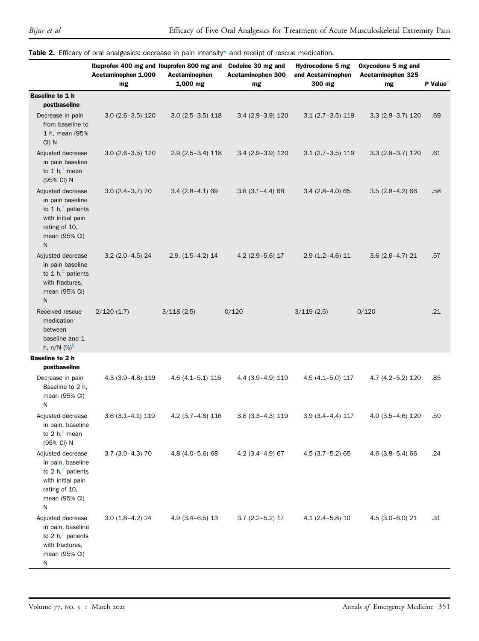|                                                                                                                                 | Ibuprofen 400 mg and Ibuprofen 800 mg and<br>Acetaminophen 1,000<br>mg | Acetaminophen<br>$1,000$ mg | Codeine 30 mg and<br>Acetaminophen 300<br>mg | Hydrocodone 5 mg<br>and Acetaminophen<br>300 mg | Oxycodone 5 mg and<br>Acetaminophen 325<br>mg | $P$ Value <sup>1</sup> |
|---------------------------------------------------------------------------------------------------------------------------------|------------------------------------------------------------------------|-----------------------------|----------------------------------------------|-------------------------------------------------|-----------------------------------------------|------------------------|
| Baseline to 1 h                                                                                                                 |                                                                        |                             |                                              |                                                 |                                               |                        |
| postbaseline                                                                                                                    |                                                                        |                             |                                              |                                                 |                                               |                        |
| Decrease in pain<br>from baseline to<br>1 h, mean (95%<br>$Cl$ ) N                                                              | $3.0(2.6-3.5)120$                                                      | $3.0(2.5-3.5)118$           | 3.4 (2.9-3.9) 120                            | $3.1(2.7 - 3.5)119$                             | $3.3(2.8 - 3.7)120$                           | .69                    |
| Adjusted decrease<br>in pain baseline<br>to 1 $h,^{\dagger}$ mean<br>(95% CI) N                                                 | $3.0(2.6 - 3.5)120$                                                    | $2.9(2.5 - 3.4)118$         | $3.4(2.9 - 3.9)120$                          | $3.1(2.7-3.5)119$                               | $3.3(2.8 - 3.7)120$                           | .61                    |
| Adjusted decrease<br>in pain baseline<br>to 1 h, $‡$ patients<br>with initial pain<br>rating of 10,<br>mean (95% CI)<br>N       | $3.0(2.4 - 3.7)$ 70                                                    | $3.4(2.8-4.1)69$            | $3.8(3.1 - 4.4)68$                           | $3.4(2.8-4.0)65$                                | $3.5(2.8-4.2)66$                              | .58                    |
| Adjusted decrease<br>in pain baseline<br>to 1 $h$ , <sup><math>+</math></sup> patients<br>with fractures,<br>mean (95% CI)<br>N | $3.2$ (2.0-4.5) 24                                                     | $2.9. (1.5 - 4.2)$ 14       | $4.2$ (2.9-5.6) 17                           | $2.9(1.2 - 4.6)11$                              | $3.6(2.6 - 4.7)$ 21                           | .57                    |
| Received rescue<br>medication<br>between<br>baseline and 1<br>h, n/N $(\%)^{\$}$                                                | 2/120(1.7)                                                             | 3/118(2.5)                  | 0/120                                        | 3/119(2.5)                                      | 0/120                                         | .21                    |
| Baseline to 2 h<br>postbaseline                                                                                                 |                                                                        |                             |                                              |                                                 |                                               |                        |
| Decrease in pain<br>Baseline to 2 h,<br>mean (95% CI)<br>N                                                                      | 4.3 (3.9-4.8) 119                                                      | $4.6(4.1 - 5.1)116$         | 4.4 (3.9-4.9) 119                            | $4.5(4.1 - 5.0)117$                             | 4.7 (4.2-5.2) 120                             | .85                    |
| Adjusted decrease<br>in pain, baseline<br>to 2 h, $\parallel$ mean<br>(95% CI) N                                                | $3.6(3.1 - 4.1)119$                                                    | $4.2$ (3.7-4.8) 116         | $3.8(3.3-4.3)119$                            | $3.9(3.4 - 4.4)117$                             | $4.0(3.5-4.6)120$                             | .59                    |
| Adjusted decrease<br>in pain, baseline<br>to 2 h, patients<br>with initial pain<br>rating of 10,<br>mean (95% CI)<br>N          | $3.7(3.0-4.3)$ 70                                                      | 4.8 (4.0-5.6) 68            | $4.2$ (3.4-4.9) 67                           | $4.5(3.7 - 5.2)65$                              | $4.6$ (3.8-5.4) 66                            | .24                    |
| Adjusted decrease<br>in pain, baseline<br>to 2 h, patients<br>with fractures,<br>mean (95% CI)<br>N                             | $3.0(1.8-4.2)$ 24                                                      | $4.9(3.4 - 6.5)13$          | $3.7$ (2.2-5.2) 17                           | $4.1(2.4 - 5.8)10$                              | $4.5(3.0 - 6.0)21$                            | .31                    |

<span id="page-6-0"></span>

|  | Table 2. Efficacy of oral analgesics: decrease in pain intensity* and receipt of rescue medication. |  |  |  |  |
|--|-----------------------------------------------------------------------------------------------------|--|--|--|--|
|  |                                                                                                     |  |  |  |  |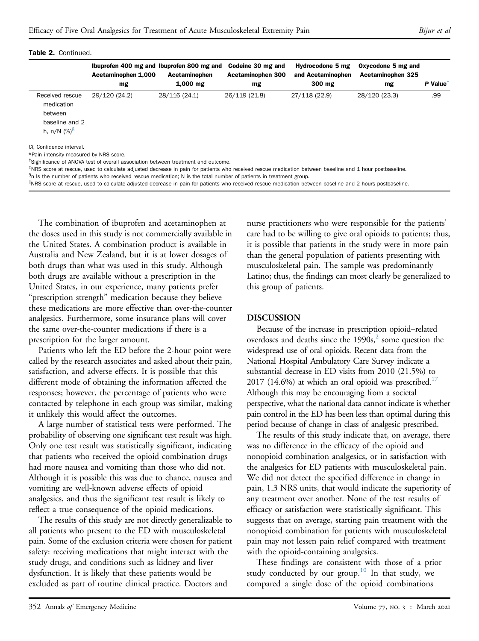|                                                                               | Ibuprofen 400 mg and Ibuprofen 800 mg and<br>Acetaminophen 1,000                                                                                                                                                                                                     | Acetaminophen | Codeine 30 mg and<br>Acetaminophen 300 | Hydrocodone 5 mg<br>and Acetaminophen | Oxycodone 5 mg and<br>Acetaminophen 325 |                        |
|-------------------------------------------------------------------------------|----------------------------------------------------------------------------------------------------------------------------------------------------------------------------------------------------------------------------------------------------------------------|---------------|----------------------------------------|---------------------------------------|-----------------------------------------|------------------------|
|                                                                               | mg                                                                                                                                                                                                                                                                   | $1,000$ mg    | mg                                     | 300 mg                                | mg                                      | $P$ Value <sup>t</sup> |
| Received rescue<br>medication<br>between<br>baseline and 2<br>h, n/N $(\%)^5$ | 29/120 (24.2)                                                                                                                                                                                                                                                        | 28/116 (24.1) | 26/119 (21.8)                          | 27/118 (22.9)                         | 28/120 (23.3)                           | .99                    |
| CI. Confidence interval.<br>*Pain intensity measured by NRS score.            | <sup>T</sup> Significance of ANOVA test of overall association between treatment and outcome.<br><sup>‡</sup> NRS score at rescue, used to calculate adjusted decrease in pain for patients who received rescue medication between baseline and 1 hour postbaseline. |               |                                        |                                       |                                         |                        |

<span id="page-7-3"></span><span id="page-7-2"></span><span id="page-7-1"></span><span id="page-7-0"></span>§n Is the number of patients who received rescue medication; N is the total number of patients in treatment group.

<sup>il</sup>NRS score at rescue, used to calculate adjusted decrease in pain for patients who received rescue medication between baseline and 2 hours postbaseline.

The combination of ibuprofen and acetaminophen at the doses used in this study is not commercially available in the United States. A combination product is available in Australia and New Zealand, but it is at lower dosages of both drugs than what was used in this study. Although both drugs are available without a prescription in the United States, in our experience, many patients prefer "prescription strength" medication because they believe these medications are more effective than over-the-counter analgesics. Furthermore, some insurance plans will cover the same over-the-counter medications if there is a prescription for the larger amount.

Patients who left the ED before the 2-hour point were called by the research associates and asked about their pain, satisfaction, and adverse effects. It is possible that this different mode of obtaining the information affected the responses; however, the percentage of patients who were contacted by telephone in each group was similar, making it unlikely this would affect the outcomes.

A large number of statistical tests were performed. The probability of observing one significant test result was high. Only one test result was statistically significant, indicating that patients who received the opioid combination drugs had more nausea and vomiting than those who did not. Although it is possible this was due to chance, nausea and vomiting are well-known adverse effects of opioid analgesics, and thus the significant test result is likely to reflect a true consequence of the opioid medications.

The results of this study are not directly generalizable to all patients who present to the ED with musculoskeletal pain. Some of the exclusion criteria were chosen for patient safety: receiving medications that might interact with the study drugs, and conditions such as kidney and liver dysfunction. It is likely that these patients would be excluded as part of routine clinical practice. Doctors and

nurse practitioners who were responsible for the patients' care had to be willing to give oral opioids to patients; thus, it is possible that patients in the study were in more pain than the general population of patients presenting with musculoskeletal pain. The sample was predominantly Latino; thus, the findings can most clearly be generalized to this group of patients.

#### DISCUSSION

Because of the increase in prescription opioid–related overdoses and deaths since the  $1990s<sub>z</sub>$  some question the widespread use of oral opioids. Recent data from the National Hospital Ambulatory Care Survey indicate a substantial decrease in ED visits from 2010 (21.5%) to  $2017$  (14.6%) at which an oral opioid was prescribed.<sup>17</sup> Although this may be encouraging from a societal perspective, what the national data cannot indicate is whether pain control in the ED has been less than optimal during this period because of change in class of analgesic prescribed.

The results of this study indicate that, on average, there was no difference in the efficacy of the opioid and nonopioid combination analgesics, or in satisfaction with the analgesics for ED patients with musculoskeletal pain. We did not detect the specified difference in change in pain, 1.3 NRS units, that would indicate the superiority of any treatment over another. None of the test results of efficacy or satisfaction were statistically significant. This suggests that on average, starting pain treatment with the nonopioid combination for patients with musculoskeletal pain may not lessen pain relief compared with treatment with the opioid-containing analgesics.

These findings are consistent with those of a prior study conducted by our group.<sup>[10](#page-11-1)</sup> In that study, we compared a single dose of the opioid combinations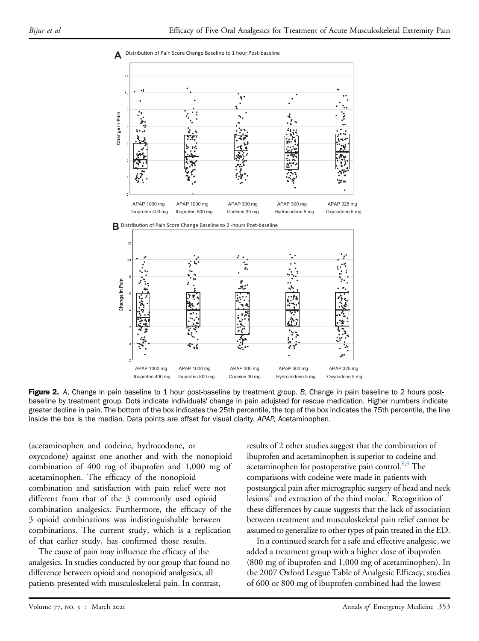

<span id="page-8-0"></span>

Figure 2. A, Change in pain baseline to 1 hour post-baseline by treatment group. B, Change in pain baseline to 2 hours postbaseline by treatment group. Dots indicate individuals' change in pain adujsted for rescue medication. Higher numbers indicate greater decline in pain. The bottom of the box indicates the 25th percentile, the top of the box indicates the 75th percentile, the line inside the box is the median. Data points are offset for visual clarity. APAP, Acetaminophen.

APAP 1000 mg APAP 1000 mg APAP 300 mg APAP 300 mg APAP 325 mg Ibuprofen 400 mg Ibuprofen 800 mg Codeine 30 mg Hydrocodone 5 mg Oxycodone 5 mg

(acetaminophen and codeine, hydrocodone, or oxycodone) against one another and with the nonopioid combination of 400 mg of ibuprofen and 1,000 mg of acetaminophen. The efficacy of the nonopioid combination and satisfaction with pain relief were not different from that of the 3 commonly used opioid combination analgesics. Furthermore, the efficacy of the 3 opioid combinations was indistinguishable between combinations. The current study, which is a replication of that earlier study, has confirmed those results.

The cause of pain may influence the efficacy of the analgesics. In studies conducted by our group that found no difference between opioid and nonopioid analgesics, all patients presented with musculoskeletal pain. In contrast,

results of 2 other studies suggest that the combination of ibuprofen and acetaminophen is superior to codeine and acetaminophen for postoperative pain control.<sup>8[,9](#page-11-0)</sup> The comparisons with codeine were made in patients with postsurgical pain after micrographic surgery of head and neck lesions<sup>8</sup> and extraction of the third molar.<sup>[9](#page-11-0)</sup> Recognition of these differences by cause suggests that the lack of association between treatment and musculoskeletal pain relief cannot be assumed to generalize to other types of pain treated in the ED.

3

In a continued search for a safe and effective analgesic, we added a treatment group with a higher dose of ibuprofen (800 mg of ibuprofen and 1,000 mg of acetaminophen). In the 2007 Oxford League Table of Analgesic Efficacy, studies of 600 or 800 mg of ibuprofen combined had the lowest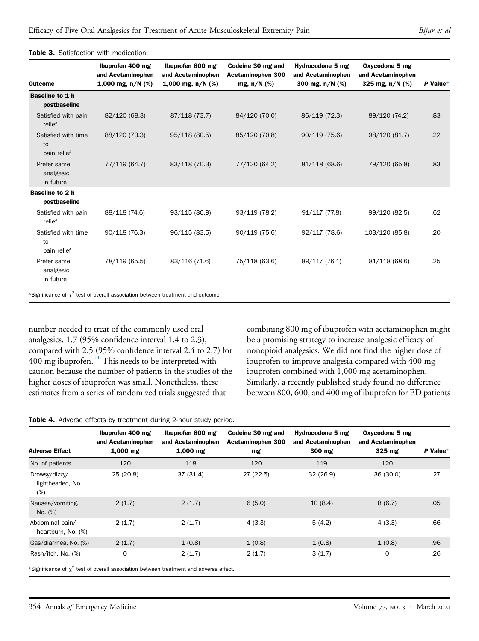| <b>Outcome</b>                           | Ibuprofen 400 mg<br>and Acetaminophen<br>1,000 mg, $n/N$ (%) | Ibuprofen 800 mg<br>and Acetaminophen<br>1,000 mg, $n/N$ (%) | Codeine 30 mg and<br>Acetaminophen 300<br>mg, $n/N$ (%) | Hydrocodone 5 mg<br>and Acetaminophen<br>300 mg, n/N (%) | Oxycodone 5 mg<br>and Acetaminophen<br>325 mg, $n/N$ (%) | $P$ Value* |
|------------------------------------------|--------------------------------------------------------------|--------------------------------------------------------------|---------------------------------------------------------|----------------------------------------------------------|----------------------------------------------------------|------------|
| Baseline to 1 h<br>postbaseline          |                                                              |                                                              |                                                         |                                                          |                                                          |            |
| Satisfied with pain<br>relief            | 82/120 (68.3)                                                | 87/118 (73.7)                                                | 84/120 (70.0)                                           | 86/119 (72.3)                                            | 89/120 (74.2)                                            | .83        |
| Satisfied with time<br>to<br>pain relief | 88/120 (73.3)                                                | 95/118 (80.5)                                                | 85/120 (70.8)                                           | 90/119(75.6)                                             | 98/120 (81.7)                                            | .22        |
| Prefer same<br>analgesic<br>in future    | 77/119 (64.7)                                                | 83/118 (70.3)                                                | 77/120 (64.2)                                           | 81/118 (68.6)                                            | 79/120 (65.8)                                            | .83        |
| Baseline to 2 h<br>postbaseline          |                                                              |                                                              |                                                         |                                                          |                                                          |            |
| Satisfied with pain<br>relief            | 88/118 (74.6)                                                | 93/115 (80.9)                                                | 93/119 (78.2)                                           | 91/117 (77.8)                                            | 99/120 (82.5)                                            | .62        |
| Satisfied with time<br>to<br>pain relief | 90/118(76.3)                                                 | 96/115 (83.5)                                                | 90/119 (75.6)                                           | 92/117 (78.6)                                            | 103/120 (85.8)                                           | .20        |
| Prefer same<br>analgesic<br>in future    | 78/119 (65.5)                                                | 83/116 (71.6)                                                | 75/118 (63.6)                                           | 89/117 (76.1)                                            | 81/118 (68.6)                                            | .25        |

#### <span id="page-9-0"></span>Table 3. Satisfaction with medication.

<span id="page-9-3"></span>number needed to treat of the commonly used oral analgesics, 1.7 (95% confidence interval 1.4 to 2.3), compared with 2.5 (95% confidence interval 2.4 to 2.7) for  $400$  mg ibuprofen.<sup>[11](#page-11-2)</sup> This needs to be interpreted with caution because the number of patients in the studies of the higher doses of ibuprofen was small. Nonetheless, these estimates from a series of randomized trials suggested that

combining 800 mg of ibuprofen with acetaminophen might be a promising strategy to increase analgesic efficacy of nonopioid analgesics. We did not find the higher dose of ibuprofen to improve analgesia compared with 400 mg ibuprofen combined with 1,000 mg acetaminophen. Similarly, a recently published study found no difference between 800, 600, and 400 mg of ibuprofen for ED patients

#### <span id="page-9-1"></span>Table 4. Adverse effects by treatment during 2-hour study period.

|                                          | Ibuprofen 400 mg<br>and Acetaminophen                                                               | Ibuprofen 800 mg<br>and Acetaminophen | Codeine 30 mg and<br>Acetaminophen 300 | Hydrocodone 5 mg<br>and Acetaminophen | Oxycodone 5 mg<br>and Acetaminophen |            |
|------------------------------------------|-----------------------------------------------------------------------------------------------------|---------------------------------------|----------------------------------------|---------------------------------------|-------------------------------------|------------|
| <b>Adverse Effect</b>                    | $1,000$ mg                                                                                          | $1,000$ mg                            | mg                                     | 300 mg                                | 325 mg                              | $P$ Value* |
| No. of patients                          | 120                                                                                                 | 118                                   | 120                                    | 119                                   | 120                                 |            |
| Drowsy/dizzy/<br>lightheaded, No.<br>(%) | 25 (20.8)                                                                                           | 37(31.4)                              | 27(22.5)                               | 32(26.9)                              | 36(30.0)                            | .27        |
| Nausea/vomiting.<br>No. (%)              | 2(1.7)                                                                                              | 2(1.7)                                | 6(5.0)                                 | 10(8.4)                               | 8(6.7)                              | .05        |
| Abdominal pain/<br>heartburn, No. (%)    | 2(1.7)                                                                                              | 2(1.7)                                | 4(3.3)                                 | 5(4.2)                                | 4(3.3)                              | .66        |
| Gas/diarrhea, No. (%)                    | 2(1.7)                                                                                              | 1(0.8)                                | 1(0.8)                                 | 1(0.8)                                | 1(0.8)                              | .96        |
| Rash/itch, No. (%)                       | 0<br><b>Solvathenner of 2 test of consult presidentes between theodoxical radioans of the state</b> | 2(1.7)                                | 2(1.7)                                 | 3(1.7)                                | $\mathbf 0$                         | .26        |

<span id="page-9-2"></span>Significance of  $\chi^2$  test of overall association between treatment and adverse effect.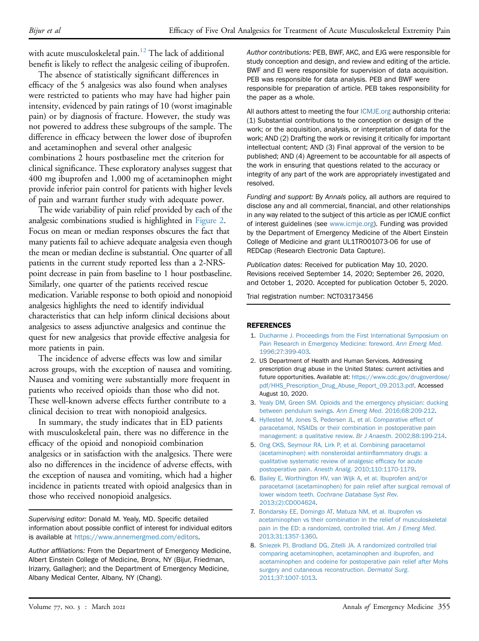with acute musculoskeletal pain.<sup>[12](#page-11-3)</sup> The lack of additional benefit is likely to reflect the analgesic ceiling of ibuprofen.

The absence of statistically significant differences in efficacy of the 5 analgesics was also found when analyses were restricted to patients who may have had higher pain intensity, evidenced by pain ratings of 10 (worst imaginable pain) or by diagnosis of fracture. However, the study was not powered to address these subgroups of the sample. The difference in efficacy between the lower dose of ibuprofen and acetaminophen and several other analgesic combinations 2 hours postbaseline met the criterion for clinical significance. These exploratory analyses suggest that 400 mg ibuprofen and 1,000 mg of acetaminophen might provide inferior pain control for patients with higher levels of pain and warrant further study with adequate power.

The wide variability of pain relief provided by each of the analgesic combinations studied is highlighted in [Figure 2](#page-8-0). Focus on mean or median responses obscures the fact that many patients fail to achieve adequate analgesia even though the mean or median decline is substantial. One quarter of all patients in the current study reported less than a 2-NRSpoint decrease in pain from baseline to 1 hour postbaseline. Similarly, one quarter of the patients received rescue medication. Variable response to both opioid and nonopioid analgesics highlights the need to identify individual characteristics that can help inform clinical decisions about analgesics to assess adjunctive analgesics and continue the quest for new analgesics that provide effective analgesia for more patients in pain.

The incidence of adverse effects was low and similar across groups, with the exception of nausea and vomiting. Nausea and vomiting were substantially more frequent in patients who received opioids than those who did not. These well-known adverse effects further contribute to a clinical decision to treat with nonopioid analgesics.

In summary, the study indicates that in ED patients with musculoskeletal pain, there was no difference in the efficacy of the opioid and nonopioid combination analgesics or in satisfaction with the analgesics. There were also no differences in the incidence of adverse effects, with the exception of nausea and vomiting, which had a higher incidence in patients treated with opioid analgesics than in those who received nonopioid analgesics.

Supervising editor: Donald M. Yealy, MD. Specific detailed information about possible conflict of interest for individual editors is available at <https://www.annemergmed.com/editors>.

Author affiliations: From the Department of Emergency Medicine, Albert Einstein College of Medicine, Bronx, NY (Bijur, Friedman, Irizarry, Gallagher); and the Department of Emergency Medicine, Albany Medical Center, Albany, NY (Chang).

Author contributions: PEB, BWF, AKC, and EJG were responsible for study conception and design, and review and editing of the article. BWF and EI were responsible for supervision of data acquisition. PEB was responsible for data analysis. PEB and BWF were responsible for preparation of article. PEB takes responsibility for the paper as a whole.

All authors attest to meeting the four [ICMJE.org](http://ICMJE.org) authorship criteria: (1) Substantial contributions to the conception or design of the work; or the acquisition, analysis, or interpretation of data for the work; AND (2) Drafting the work or revising it critically for important intellectual content; AND (3) Final approval of the version to be published; AND (4) Agreement to be accountable for all aspects of the work in ensuring that questions related to the accuracy or integrity of any part of the work are appropriately investigated and resolved.

Funding and support: By Annals policy, all authors are required to disclose any and all commercial, financial, and other relationships in any way related to the subject of this article as per ICMJE conflict of interest guidelines (see [www.icmje.org\)](http://www.icmje.org). Funding was provided by the Department of Emergency Medicine of the Albert Einstein College of Medicine and grant UL1TR001073-06 for use of REDCap (Research Electronic Data Capture).

Publication dates: Received for publication May 10, 2020. Revisions received September 14, 2020; September 26, 2020, and October 1, 2020. Accepted for publication October 5, 2020.

Trial registration number: NCT03173456

#### <span id="page-10-0"></span>**REFERENCES**

- 1. [Ducharme J. Proceedings from the First International Symposium on](http://refhub.elsevier.com/S0196-0644(20)31265-8/sref1) [Pain Research in Emergency Medicine: foreword.](http://refhub.elsevier.com/S0196-0644(20)31265-8/sref1) Ann Emerg Med. [1996;27:399-403.](http://refhub.elsevier.com/S0196-0644(20)31265-8/sref1)
- <span id="page-10-1"></span>2. US Department of Health and Human Services. Addressing prescription drug abuse in the United States: current activities and future opportunities. Available at: [https://www.cdc.gov/drugoverdose/](https://www.cdc.gov/drugoverdose/pdf/HHS_Prescription_Drug_Abuse_Report_09.2013.pdf) [pdf/HHS\\_Prescription\\_Drug\\_Abuse\\_Report\\_09.2013.pdf.](https://www.cdc.gov/drugoverdose/pdf/HHS_Prescription_Drug_Abuse_Report_09.2013.pdf) Accessed August 10, 2020.
- <span id="page-10-2"></span>3. [Yealy DM, Green SM. Opioids and the emergency physician: ducking](http://refhub.elsevier.com/S0196-0644(20)31265-8/sref3) [between pendulum swings.](http://refhub.elsevier.com/S0196-0644(20)31265-8/sref3) Ann Emerg Med. 2016;68:209-212.
- <span id="page-10-3"></span>4. [Hyllested M, Jones S, Pedersen JL, et al. Comparative effect of](http://refhub.elsevier.com/S0196-0644(20)31265-8/sref4) [paracetamol, NSAIDs or their combination in postoperative pain](http://refhub.elsevier.com/S0196-0644(20)31265-8/sref4) [management: a qualitative review.](http://refhub.elsevier.com/S0196-0644(20)31265-8/sref4) Br J Anaesth. 2002;88:199-214.
- 5. [Ong CKS, Seymour RA, Lirk P, et al. Combining paracetamol](http://refhub.elsevier.com/S0196-0644(20)31265-8/sref5) [\(acetaminophen\) with nonsteroidal antiin](http://refhub.elsevier.com/S0196-0644(20)31265-8/sref5)flammatory drugs: a [qualitative systematic review of analgesic ef](http://refhub.elsevier.com/S0196-0644(20)31265-8/sref5)ficacy for acute postoperative pain. Anesth Analg[. 2010;110:1170-1179](http://refhub.elsevier.com/S0196-0644(20)31265-8/sref5).
- 6. [Bailey E, Worthington HV, van Wijk A, et al. Ibuprofen and/or](http://refhub.elsevier.com/S0196-0644(20)31265-8/sref6) [paracetamol \(acetaminophen\) for pain relief after surgical removal of](http://refhub.elsevier.com/S0196-0644(20)31265-8/sref6) lower wisdom teeth. [Cochrane Database Syst Rev](http://refhub.elsevier.com/S0196-0644(20)31265-8/sref6). [2013;\(2\):CD004624.](http://refhub.elsevier.com/S0196-0644(20)31265-8/sref6)
- <span id="page-10-4"></span>7. [Bondarsky EE, Domingo AT, Matuza NM, et al. Ibuprofen vs](http://refhub.elsevier.com/S0196-0644(20)31265-8/sref7) [acetaminophen vs their combination in the relief of musculoskeletal](http://refhub.elsevier.com/S0196-0644(20)31265-8/sref7) [pain in the ED: a randomized, controlled trial.](http://refhub.elsevier.com/S0196-0644(20)31265-8/sref7) Am J Emerg Med. [2013;31:1357-1360](http://refhub.elsevier.com/S0196-0644(20)31265-8/sref7).
- <span id="page-10-5"></span>8. [Sniezek PJ, Brodland DG, Zitelli JA. A randomized controlled trial](http://refhub.elsevier.com/S0196-0644(20)31265-8/sref8) [comparing acetaminophen, acetaminophen and ibuprofen, and](http://refhub.elsevier.com/S0196-0644(20)31265-8/sref8) [acetaminophen and codeine for postoperative pain relief after Mohs](http://refhub.elsevier.com/S0196-0644(20)31265-8/sref8) [surgery and cutaneous reconstruction.](http://refhub.elsevier.com/S0196-0644(20)31265-8/sref8) Dermatol Surg. [2011;37:1007-1013](http://refhub.elsevier.com/S0196-0644(20)31265-8/sref8).